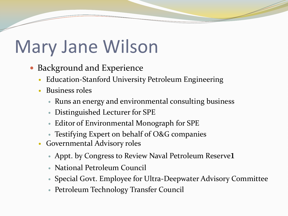# Mary Jane Wilson

- Background and Experience
	- Education-Stanford University Petroleum Engineering
	- Business roles
		- Runs an energy and environmental consulting business
		- Distinguished Lecturer for SPE
		- Editor of Environmental Monograph for SPE
		- Testifying Expert on behalf of O&G companies
	- Governmental Advisory roles
		- Appt. by Congress to Review Naval Petroleum Reserve1
		- National Petroleum Council
		- Special Govt. Employee for Ultra-Deepwater Advisory Committee
		- Petroleum Technology Transfer Council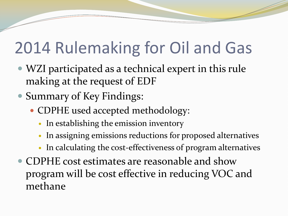## 2014 Rulemaking for Oil and Gas

- WZI participated as a technical expert in this rule making at the request of EDF
- Summary of Key Findings:
	- CDPHE used accepted methodology:
		- In establishing the emission inventory
		- In assigning emissions reductions for proposed alternatives
		- In calculating the cost-effectiveness of program alternatives
- CDPHE cost estimates are reasonable and show program will be cost effective in reducing VOC and methane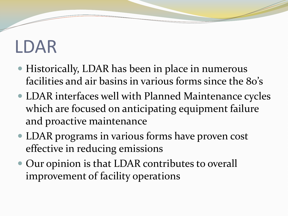# LDAR

- Historically, LDAR has been in place in numerous facilities and air basins in various forms since the 80's
- LDAR interfaces well with Planned Maintenance cycles which are focused on anticipating equipment failure and proactive maintenance
- LDAR programs in various forms have proven cost effective in reducing emissions
- Our opinion is that LDAR contributes to overall improvement of facility operations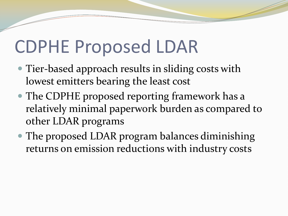## CDPHE Proposed LDAR

- Tier-based approach results in sliding costs with lowest emitters bearing the least cost
- The CDPHE proposed reporting framework has a relatively minimal paperwork burden as compared to other LDAR programs
- The proposed LDAR program balances diminishing returns on emission reductions with industry costs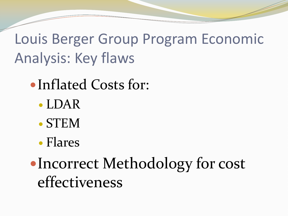Louis Berger Group Program Economic Analysis: Key flaws

- Inflated Costs for:
	- LDAR
	- STEM
	- Flares

• Incorrect Methodology for cost effectiveness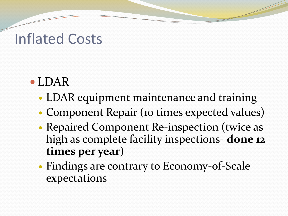#### Inflated Costs

- LDAR
	- LDAR equipment maintenance and training
	- Component Repair (10 times expected values)
	- Repaired Component Re-inspection (twice as high as complete facility inspections- **done 12 times per year**)
	- Findings are contrary to Economy-of-Scale expectations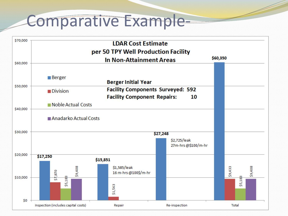#### Comparative Example-

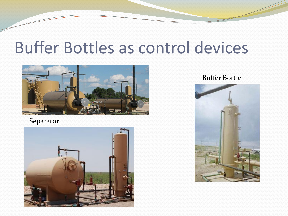### Buffer Bottles as control devices



Separator



Buffer Bottle

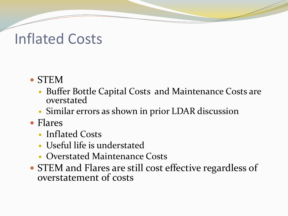#### Inflated Costs

#### STEM

- Buffer Bottle Capital Costs and Maintenance Costs are overstated
- Similar errors as shown in prior LDAR discussion
- Flares
	- Inflated Costs
	- Useful life is understated
	- Overstated Maintenance Costs
- STEM and Flares are still cost effective regardless of overstatement of costs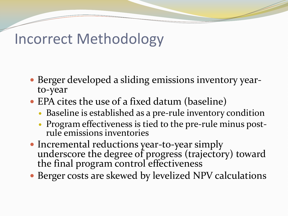#### Incorrect Methodology

- Berger developed a sliding emissions inventory yearto-year
- EPA cites the use of a fixed datum (baseline)
	- Baseline is established as a pre-rule inventory condition
	- Program effectiveness is tied to the pre-rule minus postrule emissions inventories
- Incremental reductions year-to-year simply underscore the degree of progress (trajectory) toward the final program control effectiveness
- Berger costs are skewed by levelized NPV calculations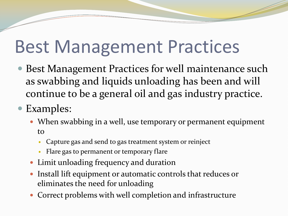## Best Management Practices

- Best Management Practices for well maintenance such as swabbing and liquids unloading has been and will continue to be a general oil and gas industry practice.
- Examples:
	- When swabbing in a well, use temporary or permanent equipment to
		- Capture gas and send to gas treatment system or reinject
		- Flare gas to permanent or temporary flare
	- Limit unloading frequency and duration
	- Install lift equipment or automatic controls that reduces or eliminates the need for unloading
	- Correct problems with well completion and infrastructure